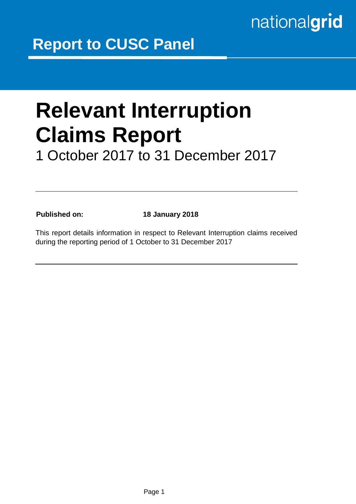# nationalgrid

## **Relevant Interruption Claims Report**  1 October 2017 to 31 December 2017

**Published on: 18 January 2018**

This report details information in respect to Relevant Interruption claims received during the reporting period of 1 October to 31 December 2017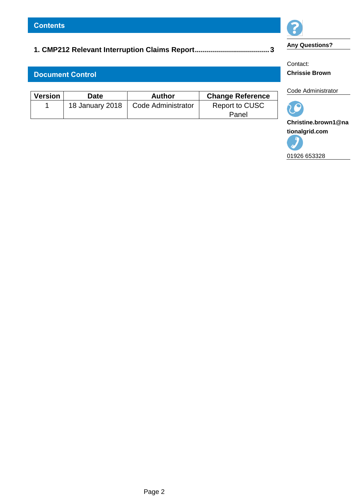## **[1. CMP212 Relevant Interruption Claims Report.....................................](#page-2-0) 3**

#### **Document Control**

| Version | Date            | <b>Author</b>      | <b>Change Reference</b> |
|---------|-----------------|--------------------|-------------------------|
|         | 18 January 2018 | Code Administrator | Report to CUSC          |
|         |                 |                    | Panel                   |



**Any Questions?**

Contact: **Chrissie Brown** 

Code Administrator



**Christine.brown1@na tionalgrid.com**

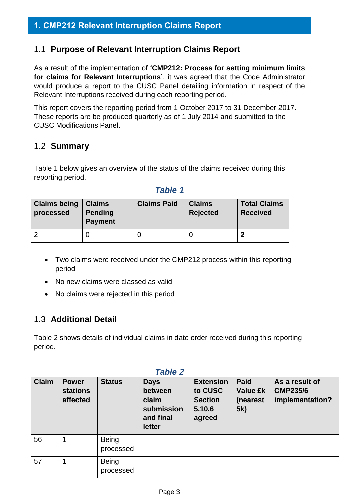#### <span id="page-2-0"></span>1.1 **Purpose of Relevant Interruption Claims Report**

As a result of the implementation of **'CMP212: Process for setting minimum limits for claims for Relevant Interruptions'**, it was agreed that the Code Administrator would produce a report to the CUSC Panel detailing information in respect of the Relevant Interruptions received during each reporting period.

This report covers the reporting period from 1 October 2017 to 31 December 2017. These reports are be produced quarterly as of 1 July 2014 and submitted to the CUSC Modifications Panel.

#### 1.2 **Summary**

Table 1 below gives an overview of the status of the claims received during this reporting period.

#### *Table 1*

| <b>Claims being</b><br>processed | <b>Claims</b><br><b>Pending</b><br><b>Payment</b> | <b>Claims Paid</b> | <b>Claims</b><br><b>Rejected</b> | <b>Total Claims</b><br><b>Received</b> |
|----------------------------------|---------------------------------------------------|--------------------|----------------------------------|----------------------------------------|
|                                  |                                                   |                    |                                  | m                                      |

- Two claims were received under the CMP212 process within this reporting period
- No new claims were classed as valid
- No claims were rejected in this period

### 1.3 **Additional Detail**

Table 2 shows details of individual claims in date order received during this reporting period.

| <b>Table 2</b> |                                             |                           |                                                                      |                                                                   |                                                    |                                                      |
|----------------|---------------------------------------------|---------------------------|----------------------------------------------------------------------|-------------------------------------------------------------------|----------------------------------------------------|------------------------------------------------------|
| <b>Claim</b>   | <b>Power</b><br><b>stations</b><br>affected | <b>Status</b>             | <b>Days</b><br>between<br>claim<br>submission<br>and final<br>letter | <b>Extension</b><br>to CUSC<br><b>Section</b><br>5.10.6<br>agreed | <b>Paid</b><br><b>Value £k</b><br>(nearest)<br>5k) | As a result of<br><b>CMP235/6</b><br>implementation? |
| 56             | 1                                           | <b>Being</b><br>processed |                                                                      |                                                                   |                                                    |                                                      |
| 57             | 1                                           | <b>Being</b><br>processed |                                                                      |                                                                   |                                                    |                                                      |